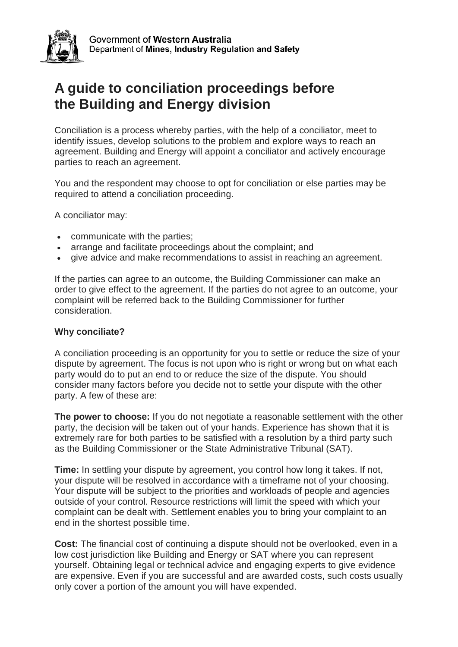

Government of Western Australia Department of Mines, Industry Regulation and Safety

# **A guide to conciliation proceedings before the Building and Energy division**

Conciliation is a process whereby parties, with the help of a conciliator, meet to identify issues, develop solutions to the problem and explore ways to reach an agreement. Building and Energy will appoint a conciliator and actively encourage parties to reach an agreement.

You and the respondent may choose to opt for conciliation or else parties may be required to attend a conciliation proceeding.

A conciliator may:

- communicate with the parties;
- arrange and facilitate proceedings about the complaint; and
- give advice and make recommendations to assist in reaching an agreement.

If the parties can agree to an outcome, the Building Commissioner can make an order to give effect to the agreement. If the parties do not agree to an outcome, your complaint will be referred back to the Building Commissioner for further consideration.

### **Why conciliate?**

A conciliation proceeding is an opportunity for you to settle or reduce the size of your dispute by agreement. The focus is not upon who is right or wrong but on what each party would do to put an end to or reduce the size of the dispute. You should consider many factors before you decide not to settle your dispute with the other party. A few of these are:

**The power to choose:** If you do not negotiate a reasonable settlement with the other party, the decision will be taken out of your hands. Experience has shown that it is extremely rare for both parties to be satisfied with a resolution by a third party such as the Building Commissioner or the State Administrative Tribunal (SAT).

**Time:** In settling your dispute by agreement, you control how long it takes. If not, your dispute will be resolved in accordance with a timeframe not of your choosing. Your dispute will be subject to the priorities and workloads of people and agencies outside of your control. Resource restrictions will limit the speed with which your complaint can be dealt with. Settlement enables you to bring your complaint to an end in the shortest possible time.

**Cost:** The financial cost of continuing a dispute should not be overlooked, even in a low cost jurisdiction like Building and Energy or SAT where you can represent yourself. Obtaining legal or technical advice and engaging experts to give evidence are expensive. Even if you are successful and are awarded costs, such costs usually only cover a portion of the amount you will have expended.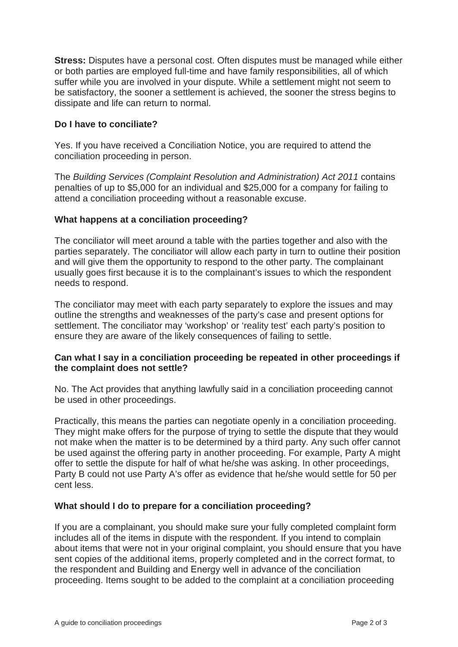**Stress:** Disputes have a personal cost. Often disputes must be managed while either or both parties are employed full-time and have family responsibilities, all of which suffer while you are involved in your dispute. While a settlement might not seem to be satisfactory, the sooner a settlement is achieved, the sooner the stress begins to dissipate and life can return to normal.

## **Do I have to conciliate?**

Yes. If you have received a Conciliation Notice, you are required to attend the conciliation proceeding in person.

The *Building Services (Complaint Resolution and Administration) Act 2011* contains penalties of up to \$5,000 for an individual and \$25,000 for a company for failing to attend a conciliation proceeding without a reasonable excuse.

### **What happens at a conciliation proceeding?**

The conciliator will meet around a table with the parties together and also with the parties separately. The conciliator will allow each party in turn to outline their position and will give them the opportunity to respond to the other party. The complainant usually goes first because it is to the complainant's issues to which the respondent needs to respond.

The conciliator may meet with each party separately to explore the issues and may outline the strengths and weaknesses of the party's case and present options for settlement. The conciliator may 'workshop' or 'reality test' each party's position to ensure they are aware of the likely consequences of failing to settle.

### **Can what I say in a conciliation proceeding be repeated in other proceedings if the complaint does not settle?**

No. The Act provides that anything lawfully said in a conciliation proceeding cannot be used in other proceedings.

Practically, this means the parties can negotiate openly in a conciliation proceeding. They might make offers for the purpose of trying to settle the dispute that they would not make when the matter is to be determined by a third party. Any such offer cannot be used against the offering party in another proceeding. For example, Party A might offer to settle the dispute for half of what he/she was asking. In other proceedings, Party B could not use Party A's offer as evidence that he/she would settle for 50 per cent less.

### **What should I do to prepare for a conciliation proceeding?**

If you are a complainant, you should make sure your fully completed complaint form includes all of the items in dispute with the respondent. If you intend to complain about items that were not in your original complaint, you should ensure that you have sent copies of the additional items, properly completed and in the correct format, to the respondent and Building and Energy well in advance of the conciliation proceeding. Items sought to be added to the complaint at a conciliation proceeding